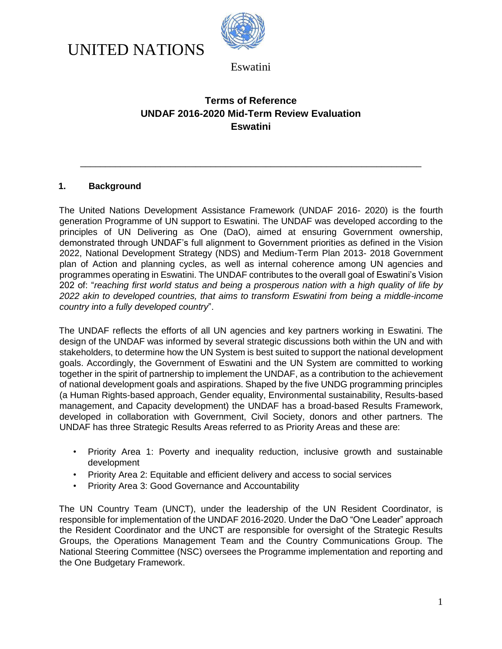



## **Terms of Reference UNDAF 2016-2020 Mid-Term Review Evaluation Eswatini**

\_\_\_\_\_\_\_\_\_\_\_\_\_\_\_\_\_\_\_\_\_\_\_\_\_\_\_\_\_\_\_\_\_\_\_\_\_\_\_\_\_\_\_\_\_\_\_\_\_\_\_\_\_\_\_\_\_\_\_\_\_\_\_\_\_\_\_\_

### **1. Background**

The United Nations Development Assistance Framework (UNDAF 2016- 2020) is the fourth generation Programme of UN support to Eswatini. The UNDAF was developed according to the principles of UN Delivering as One (DaO), aimed at ensuring Government ownership, demonstrated through UNDAF's full alignment to Government priorities as defined in the Vision 2022, National Development Strategy (NDS) and Medium-Term Plan 2013- 2018 Government plan of Action and planning cycles, as well as internal coherence among UN agencies and programmes operating in Eswatini. The UNDAF contributes to the overall goal of Eswatini's Vision 202 of: "*reaching first world status and being a prosperous nation with a high quality of life by 2022 akin to developed countries, that aims to transform Eswatini from being a middle-income country into a fully developed country*".

The UNDAF reflects the efforts of all UN agencies and key partners working in Eswatini. The design of the UNDAF was informed by several strategic discussions both within the UN and with stakeholders, to determine how the UN System is best suited to support the national development goals. Accordingly, the Government of Eswatini and the UN System are committed to working together in the spirit of partnership to implement the UNDAF, as a contribution to the achievement of national development goals and aspirations. Shaped by the five UNDG programming principles (a Human Rights-based approach, Gender equality, Environmental sustainability, Results-based management, and Capacity development) the UNDAF has a broad-based Results Framework, developed in collaboration with Government, Civil Society, donors and other partners. The UNDAF has three Strategic Results Areas referred to as Priority Areas and these are:

- Priority Area 1: Poverty and inequality reduction, inclusive growth and sustainable development
- Priority Area 2: Equitable and efficient delivery and access to social services
- Priority Area 3: Good Governance and Accountability

The UN Country Team (UNCT), under the leadership of the UN Resident Coordinator, is responsible for implementation of the UNDAF 2016-2020. Under the DaO "One Leader" approach the Resident Coordinator and the UNCT are responsible for oversight of the Strategic Results Groups, the Operations Management Team and the Country Communications Group. The National Steering Committee (NSC) oversees the Programme implementation and reporting and the One Budgetary Framework.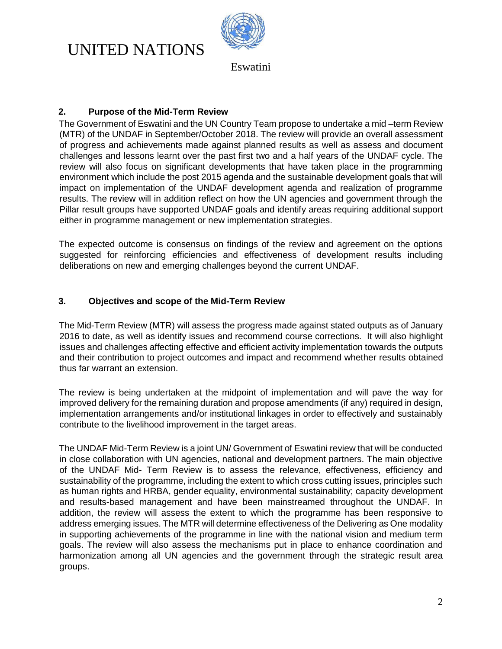

Eswatini

### **2. Purpose of the Mid-Term Review**

The Government of Eswatini and the UN Country Team propose to undertake a mid –term Review (MTR) of the UNDAF in September/October 2018. The review will provide an overall assessment of progress and achievements made against planned results as well as assess and document challenges and lessons learnt over the past first two and a half years of the UNDAF cycle. The review will also focus on significant developments that have taken place in the programming environment which include the post 2015 agenda and the sustainable development goals that will impact on implementation of the UNDAF development agenda and realization of programme results. The review will in addition reflect on how the UN agencies and government through the Pillar result groups have supported UNDAF goals and identify areas requiring additional support either in programme management or new implementation strategies.

The expected outcome is consensus on findings of the review and agreement on the options suggested for reinforcing efficiencies and effectiveness of development results including deliberations on new and emerging challenges beyond the current UNDAF.

### **3. Objectives and scope of the Mid-Term Review**

The Mid-Term Review (MTR) will assess the progress made against stated outputs as of January 2016 to date, as well as identify issues and recommend course corrections. It will also highlight issues and challenges affecting effective and efficient activity implementation towards the outputs and their contribution to project outcomes and impact and recommend whether results obtained thus far warrant an extension.

The review is being undertaken at the midpoint of implementation and will pave the way for improved delivery for the remaining duration and propose amendments (if any) required in design, implementation arrangements and/or institutional linkages in order to effectively and sustainably contribute to the livelihood improvement in the target areas.

The UNDAF Mid-Term Review is a joint UN/ Government of Eswatini review that will be conducted in close collaboration with UN agencies, national and development partners. The main objective of the UNDAF Mid- Term Review is to assess the relevance, effectiveness, efficiency and sustainability of the programme, including the extent to which cross cutting issues, principles such as human rights and HRBA, gender equality, environmental sustainability; capacity development and results-based management and have been mainstreamed throughout the UNDAF. In addition, the review will assess the extent to which the programme has been responsive to address emerging issues. The MTR will determine effectiveness of the Delivering as One modality in supporting achievements of the programme in line with the national vision and medium term goals. The review will also assess the mechanisms put in place to enhance coordination and harmonization among all UN agencies and the government through the strategic result area groups.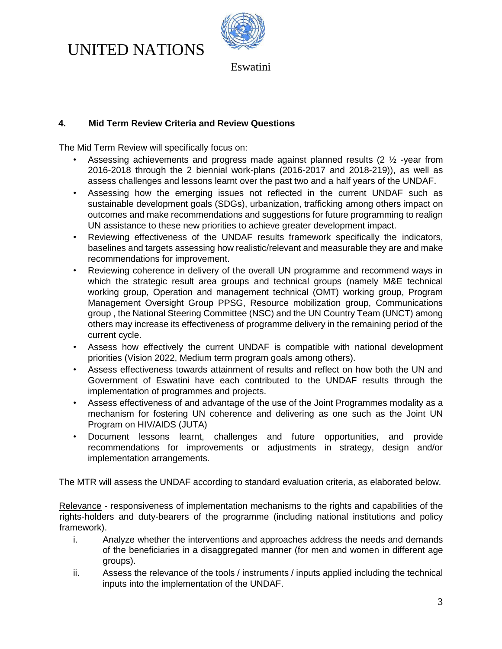

Eswatini

### **4. Mid Term Review Criteria and Review Questions**

The Mid Term Review will specifically focus on:

- Assessing achievements and progress made against planned results (2  $\frac{1}{2}$  -year from 2016-2018 through the 2 biennial work-plans (2016-2017 and 2018-219)), as well as assess challenges and lessons learnt over the past two and a half years of the UNDAF.
- Assessing how the emerging issues not reflected in the current UNDAF such as sustainable development goals (SDGs), urbanization, trafficking among others impact on outcomes and make recommendations and suggestions for future programming to realign UN assistance to these new priorities to achieve greater development impact.
- Reviewing effectiveness of the UNDAF results framework specifically the indicators, baselines and targets assessing how realistic/relevant and measurable they are and make recommendations for improvement.
- Reviewing coherence in delivery of the overall UN programme and recommend ways in which the strategic result area groups and technical groups (namely M&E technical working group, Operation and management technical (OMT) working group, Program Management Oversight Group PPSG, Resource mobilization group, Communications group , the National Steering Committee (NSC) and the UN Country Team (UNCT) among others may increase its effectiveness of programme delivery in the remaining period of the current cycle.
- Assess how effectively the current UNDAF is compatible with national development priorities (Vision 2022, Medium term program goals among others).
- Assess effectiveness towards attainment of results and reflect on how both the UN and Government of Eswatini have each contributed to the UNDAF results through the implementation of programmes and projects.
- Assess effectiveness of and advantage of the use of the Joint Programmes modality as a mechanism for fostering UN coherence and delivering as one such as the Joint UN Program on HIV/AIDS (JUTA)
- Document lessons learnt, challenges and future opportunities, and provide recommendations for improvements or adjustments in strategy, design and/or implementation arrangements.

The MTR will assess the UNDAF according to standard evaluation criteria, as elaborated below.

Relevance - responsiveness of implementation mechanisms to the rights and capabilities of the rights-holders and duty-bearers of the programme (including national institutions and policy framework).

- i. Analyze whether the interventions and approaches address the needs and demands of the beneficiaries in a disaggregated manner (for men and women in different age groups).
- ii. Assess the relevance of the tools / instruments / inputs applied including the technical inputs into the implementation of the UNDAF.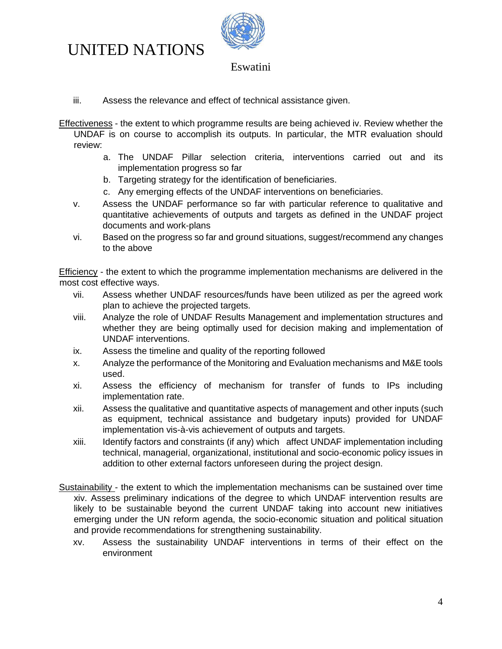

### Eswatini

- iii. Assess the relevance and effect of technical assistance given.
- Effectiveness the extent to which programme results are being achieved iv. Review whether the UNDAF is on course to accomplish its outputs. In particular, the MTR evaluation should review:
	- a. The UNDAF Pillar selection criteria, interventions carried out and its implementation progress so far
	- b. Targeting strategy for the identification of beneficiaries.
	- c. Any emerging effects of the UNDAF interventions on beneficiaries.
	- v. Assess the UNDAF performance so far with particular reference to qualitative and quantitative achievements of outputs and targets as defined in the UNDAF project documents and work-plans
	- vi. Based on the progress so far and ground situations, suggest/recommend any changes to the above

**Efficiency** - the extent to which the programme implementation mechanisms are delivered in the most cost effective ways.

- vii. Assess whether UNDAF resources/funds have been utilized as per the agreed work plan to achieve the projected targets.
- viii. Analyze the role of UNDAF Results Management and implementation structures and whether they are being optimally used for decision making and implementation of UNDAF interventions.
- ix. Assess the timeline and quality of the reporting followed
- x. Analyze the performance of the Monitoring and Evaluation mechanisms and M&E tools used.
- xi. Assess the efficiency of mechanism for transfer of funds to IPs including implementation rate.
- xii. Assess the qualitative and quantitative aspects of management and other inputs (such as equipment, technical assistance and budgetary inputs) provided for UNDAF implementation vis-à-vis achievement of outputs and targets.
- xiii. Identify factors and constraints (if any) which affect UNDAF implementation including technical, managerial, organizational, institutional and socio-economic policy issues in addition to other external factors unforeseen during the project design.
- Sustainability the extent to which the implementation mechanisms can be sustained over time xiv. Assess preliminary indications of the degree to which UNDAF intervention results are likely to be sustainable beyond the current UNDAF taking into account new initiatives emerging under the UN reform agenda, the socio-economic situation and political situation and provide recommendations for strengthening sustainability.
	- xv. Assess the sustainability UNDAF interventions in terms of their effect on the environment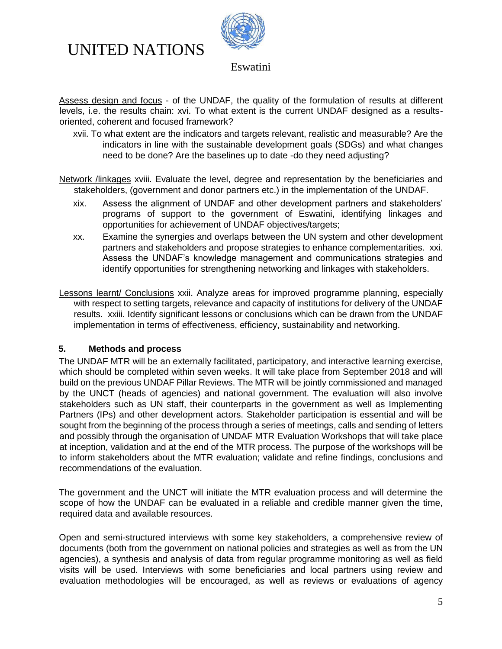



Assess design and focus - of the UNDAF, the quality of the formulation of results at different levels, i.e. the results chain: xvi. To what extent is the current UNDAF designed as a resultsoriented, coherent and focused framework?

xvii. To what extent are the indicators and targets relevant, realistic and measurable? Are the indicators in line with the sustainable development goals (SDGs) and what changes need to be done? Are the baselines up to date -do they need adjusting?

Network /linkages xviii. Evaluate the level, degree and representation by the beneficiaries and stakeholders, (government and donor partners etc.) in the implementation of the UNDAF.

- xix. Assess the alignment of UNDAF and other development partners and stakeholders' programs of support to the government of Eswatini, identifying linkages and opportunities for achievement of UNDAF objectives/targets;
- xx. Examine the synergies and overlaps between the UN system and other development partners and stakeholders and propose strategies to enhance complementarities. xxi. Assess the UNDAF's knowledge management and communications strategies and identify opportunities for strengthening networking and linkages with stakeholders.

Lessons learnt/ Conclusions xxii. Analyze areas for improved programme planning, especially with respect to setting targets, relevance and capacity of institutions for delivery of the UNDAF results. xxiii. Identify significant lessons or conclusions which can be drawn from the UNDAF implementation in terms of effectiveness, efficiency, sustainability and networking.

### **5. Methods and process**

The UNDAF MTR will be an externally facilitated, participatory, and interactive learning exercise, which should be completed within seven weeks. It will take place from September 2018 and will build on the previous UNDAF Pillar Reviews. The MTR will be jointly commissioned and managed by the UNCT (heads of agencies) and national government. The evaluation will also involve stakeholders such as UN staff, their counterparts in the government as well as Implementing Partners (IPs) and other development actors. Stakeholder participation is essential and will be sought from the beginning of the process through a series of meetings, calls and sending of letters and possibly through the organisation of UNDAF MTR Evaluation Workshops that will take place at inception, validation and at the end of the MTR process. The purpose of the workshops will be to inform stakeholders about the MTR evaluation; validate and refine findings, conclusions and recommendations of the evaluation.

The government and the UNCT will initiate the MTR evaluation process and will determine the scope of how the UNDAF can be evaluated in a reliable and credible manner given the time, required data and available resources.

Open and semi-structured interviews with some key stakeholders, a comprehensive review of documents (both from the government on national policies and strategies as well as from the UN agencies), a synthesis and analysis of data from regular programme monitoring as well as field visits will be used. Interviews with some beneficiaries and local partners using review and evaluation methodologies will be encouraged, as well as reviews or evaluations of agency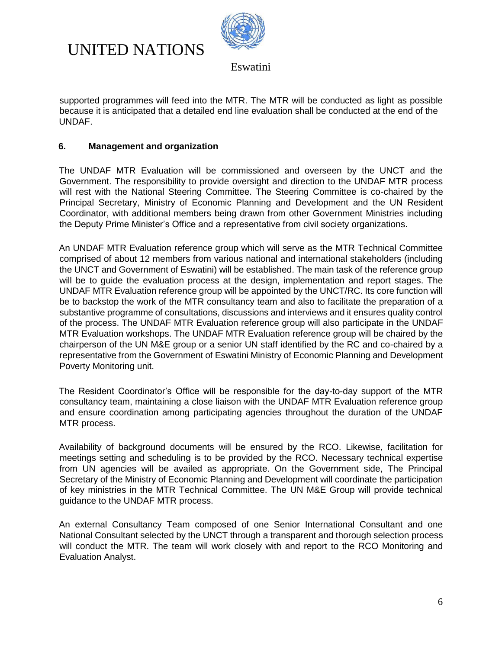



supported programmes will feed into the MTR. The MTR will be conducted as light as possible because it is anticipated that a detailed end line evaluation shall be conducted at the end of the UNDAF.

### **6. Management and organization**

The UNDAF MTR Evaluation will be commissioned and overseen by the UNCT and the Government. The responsibility to provide oversight and direction to the UNDAF MTR process will rest with the National Steering Committee. The Steering Committee is co-chaired by the Principal Secretary, Ministry of Economic Planning and Development and the UN Resident Coordinator, with additional members being drawn from other Government Ministries including the Deputy Prime Minister's Office and a representative from civil society organizations.

An UNDAF MTR Evaluation reference group which will serve as the MTR Technical Committee comprised of about 12 members from various national and international stakeholders (including the UNCT and Government of Eswatini) will be established. The main task of the reference group will be to guide the evaluation process at the design, implementation and report stages. The UNDAF MTR Evaluation reference group will be appointed by the UNCT/RC. Its core function will be to backstop the work of the MTR consultancy team and also to facilitate the preparation of a substantive programme of consultations, discussions and interviews and it ensures quality control of the process. The UNDAF MTR Evaluation reference group will also participate in the UNDAF MTR Evaluation workshops. The UNDAF MTR Evaluation reference group will be chaired by the chairperson of the UN M&E group or a senior UN staff identified by the RC and co-chaired by a representative from the Government of Eswatini Ministry of Economic Planning and Development Poverty Monitoring unit.

The Resident Coordinator's Office will be responsible for the day-to-day support of the MTR consultancy team, maintaining a close liaison with the UNDAF MTR Evaluation reference group and ensure coordination among participating agencies throughout the duration of the UNDAF MTR process.

Availability of background documents will be ensured by the RCO. Likewise, facilitation for meetings setting and scheduling is to be provided by the RCO. Necessary technical expertise from UN agencies will be availed as appropriate. On the Government side, The Principal Secretary of the Ministry of Economic Planning and Development will coordinate the participation of key ministries in the MTR Technical Committee. The UN M&E Group will provide technical guidance to the UNDAF MTR process.

An external Consultancy Team composed of one Senior International Consultant and one National Consultant selected by the UNCT through a transparent and thorough selection process will conduct the MTR. The team will work closely with and report to the RCO Monitoring and Evaluation Analyst.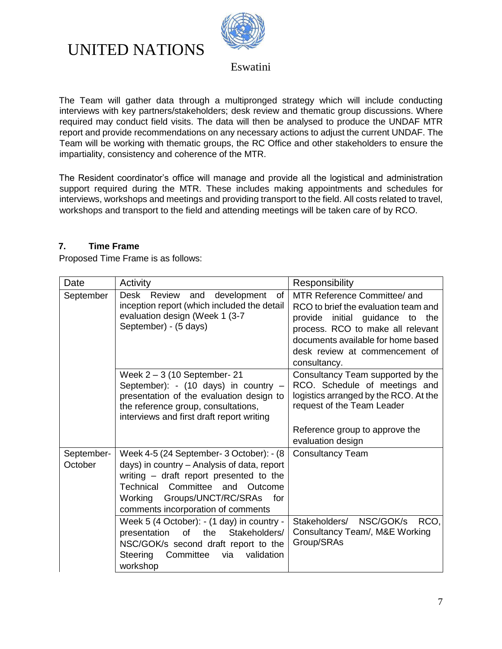

Eswatini

The Team will gather data through a multipronged strategy which will include conducting interviews with key partners/stakeholders; desk review and thematic group discussions. Where required may conduct field visits. The data will then be analysed to produce the UNDAF MTR report and provide recommendations on any necessary actions to adjust the current UNDAF. The Team will be working with thematic groups, the RC Office and other stakeholders to ensure the impartiality, consistency and coherence of the MTR.

The Resident coordinator's office will manage and provide all the logistical and administration support required during the MTR. These includes making appointments and schedules for interviews, workshops and meetings and providing transport to the field. All costs related to travel, workshops and transport to the field and attending meetings will be taken care of by RCO.

### **7. Time Frame**

Proposed Time Frame is as follows:

| Date                  | Activity                                                                                                                                                                                                                                                | Responsibility                                                                                                                                                                                                                       |
|-----------------------|---------------------------------------------------------------------------------------------------------------------------------------------------------------------------------------------------------------------------------------------------------|--------------------------------------------------------------------------------------------------------------------------------------------------------------------------------------------------------------------------------------|
| September             | Desk<br>Review and<br>development<br>of<br>inception report (which included the detail<br>evaluation design (Week 1 (3-7)<br>September) - (5 days)                                                                                                      | MTR Reference Committee/ and<br>RCO to brief the evaluation team and<br>provide initial guidance to the<br>process. RCO to make all relevant<br>documents available for home based<br>desk review at commencement of<br>consultancy. |
|                       | Week $2 - 3$ (10 September- 21<br>September): - (10 days) in country -<br>presentation of the evaluation design to<br>the reference group, consultations,<br>interviews and first draft report writing                                                  | Consultancy Team supported by the<br>RCO. Schedule of meetings and<br>logistics arranged by the RCO. At the<br>request of the Team Leader<br>Reference group to approve the                                                          |
|                       |                                                                                                                                                                                                                                                         | evaluation design                                                                                                                                                                                                                    |
| September-<br>October | Week 4-5 (24 September- 3 October): - (8<br>days) in country - Analysis of data, report<br>writing - draft report presented to the<br>Technical Committee<br>and Outcome<br>Groups/UNCT/RC/SRAs<br>Working<br>for<br>comments incorporation of comments | <b>Consultancy Team</b>                                                                                                                                                                                                              |
|                       | Week 5 (4 October): - (1 day) in country -<br>of the<br>Stakeholders/<br>presentation<br>NSC/GOK/s second draft report to the<br>Steering<br>via<br>validation<br>Committee<br>workshop                                                                 | Stakeholders/ NSC/GOK/s<br>RCO,<br>Consultancy Team/, M&E Working<br>Group/SRAs                                                                                                                                                      |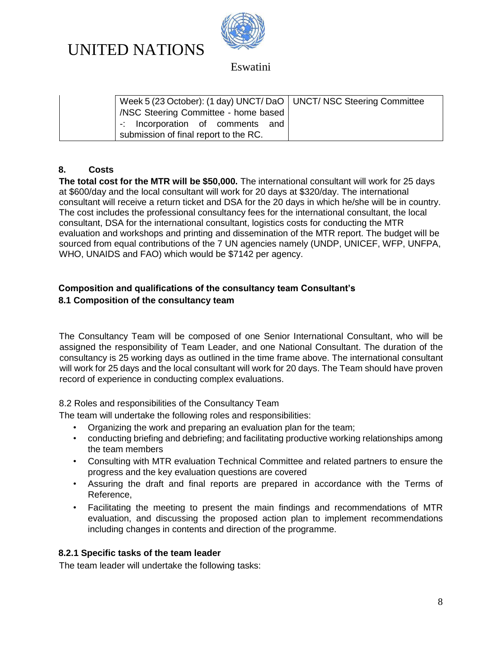

Eswatini

| Week 5 (23 October): (1 day) UNCT/ DaO   UNCT/ NSC Steering Committee |  |
|-----------------------------------------------------------------------|--|
| NSC Steering Committee - home based                                   |  |
| -: Incorporation of comments and                                      |  |
| submission of final report to the RC.                                 |  |

### **8. Costs**

**The total cost for the MTR will be \$50,000.** The international consultant will work for 25 days at \$600/day and the local consultant will work for 20 days at \$320/day. The international consultant will receive a return ticket and DSA for the 20 days in which he/she will be in country. The cost includes the professional consultancy fees for the international consultant, the local consultant, DSA for the international consultant, logistics costs for conducting the MTR evaluation and workshops and printing and dissemination of the MTR report. The budget will be sourced from equal contributions of the 7 UN agencies namely (UNDP, UNICEF, WFP, UNFPA, WHO, UNAIDS and FAO) which would be \$7142 per agency.

### **Composition and qualifications of the consultancy team Consultant's 8.1 Composition of the consultancy team**

The Consultancy Team will be composed of one Senior International Consultant, who will be assigned the responsibility of Team Leader, and one National Consultant. The duration of the consultancy is 25 working days as outlined in the time frame above. The international consultant will work for 25 days and the local consultant will work for 20 days. The Team should have proven record of experience in conducting complex evaluations.

8.2 Roles and responsibilities of the Consultancy Team

The team will undertake the following roles and responsibilities:

- Organizing the work and preparing an evaluation plan for the team;
- conducting briefing and debriefing; and facilitating productive working relationships among the team members
- Consulting with MTR evaluation Technical Committee and related partners to ensure the progress and the key evaluation questions are covered
- Assuring the draft and final reports are prepared in accordance with the Terms of Reference,
- Facilitating the meeting to present the main findings and recommendations of MTR evaluation, and discussing the proposed action plan to implement recommendations including changes in contents and direction of the programme.

### **8.2.1 Specific tasks of the team leader**

The team leader will undertake the following tasks: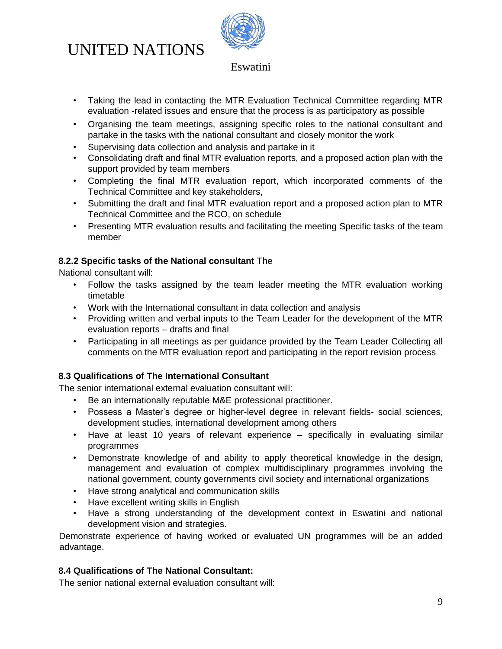

## Eswatini

- Taking the lead in contacting the MTR Evaluation Technical Committee regarding MTR evaluation -related issues and ensure that the process is as participatory as possible
- Organising the team meetings, assigning specific roles to the national consultant and partake in the tasks with the national consultant and closely monitor the work
- Supervising data collection and analysis and partake in it
- Consolidating draft and final MTR evaluation reports, and a proposed action plan with the support provided by team members
- Completing the final MTR evaluation report, which incorporated comments of the Technical Committee and key stakeholders,
- Submitting the draft and final MTR evaluation report and a proposed action plan to MTR Technical Committee and the RCO, on schedule
- Presenting MTR evaluation results and facilitating the meeting Specific tasks of the team member

## **8.2.2 Specific tasks of the National consultant** The

National consultant will:

- Follow the tasks assigned by the team leader meeting the MTR evaluation working timetable
- Work with the International consultant in data collection and analysis
- Providing written and verbal inputs to the Team Leader for the development of the MTR evaluation reports – drafts and final
- Participating in all meetings as per guidance provided by the Team Leader Collecting all comments on the MTR evaluation report and participating in the report revision process

## **8.3 Qualifications of The International Consultant**

The senior international external evaluation consultant will:

- Be an internationally reputable M&E professional practitioner.
- Possess a Master's degree or higher-level degree in relevant fields- social sciences, development studies, international development among others
- Have at least 10 years of relevant experience specifically in evaluating similar programmes
- Demonstrate knowledge of and ability to apply theoretical knowledge in the design, management and evaluation of complex multidisciplinary programmes involving the national government, county governments civil society and international organizations
- Have strong analytical and communication skills
- Have excellent writing skills in English
- Have a strong understanding of the development context in Eswatini and national development vision and strategies.

Demonstrate experience of having worked or evaluated UN programmes will be an added advantage.

## **8.4 Qualifications of The National Consultant:**

The senior national external evaluation consultant will: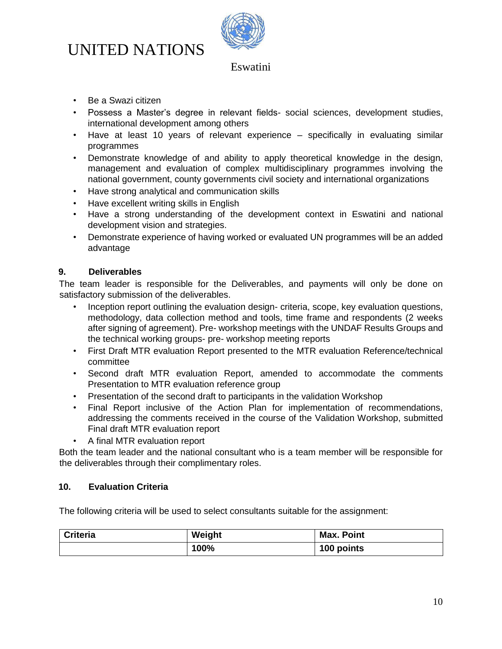

## Eswatini

- Be a Swazi citizen
- Possess a Master's degree in relevant fields- social sciences, development studies, international development among others
- Have at least 10 years of relevant experience specifically in evaluating similar programmes
- Demonstrate knowledge of and ability to apply theoretical knowledge in the design, management and evaluation of complex multidisciplinary programmes involving the national government, county governments civil society and international organizations
- Have strong analytical and communication skills
- Have excellent writing skills in English
- Have a strong understanding of the development context in Eswatini and national development vision and strategies.
- Demonstrate experience of having worked or evaluated UN programmes will be an added advantage

### **9. Deliverables**

The team leader is responsible for the Deliverables, and payments will only be done on satisfactory submission of the deliverables.

- Inception report outlining the evaluation design- criteria, scope, key evaluation questions, methodology, data collection method and tools, time frame and respondents (2 weeks after signing of agreement). Pre- workshop meetings with the UNDAF Results Groups and the technical working groups- pre- workshop meeting reports
- First Draft MTR evaluation Report presented to the MTR evaluation Reference/technical committee
- Second draft MTR evaluation Report, amended to accommodate the comments Presentation to MTR evaluation reference group
- Presentation of the second draft to participants in the validation Workshop
- Final Report inclusive of the Action Plan for implementation of recommendations, addressing the comments received in the course of the Validation Workshop, submitted Final draft MTR evaluation report
- A final MTR evaluation report

Both the team leader and the national consultant who is a team member will be responsible for the deliverables through their complimentary roles.

### **10. Evaluation Criteria**

The following criteria will be used to select consultants suitable for the assignment:

| <b>Criteria</b> | Weight | <b>Max. Point</b> |
|-----------------|--------|-------------------|
|                 | 100%   | 100 points        |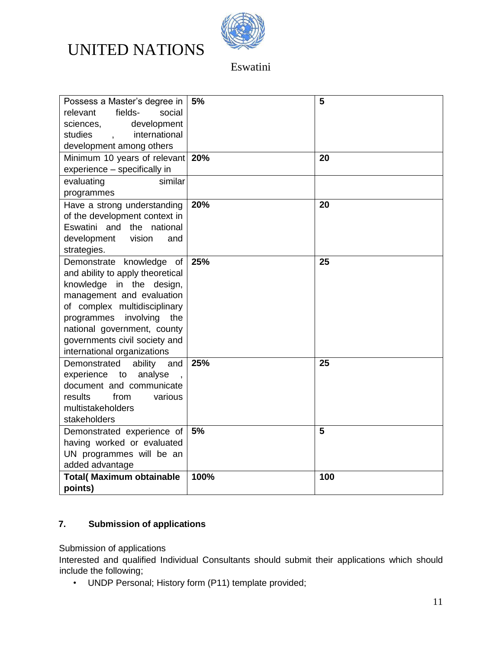

Eswatini

| Possess a Master's degree in<br>fields-<br>social<br>relevant<br>sciences,<br>development<br>international<br>studies<br>$\mathbf{r}$<br>development among others                                                                                                                      | 5%   | 5   |
|----------------------------------------------------------------------------------------------------------------------------------------------------------------------------------------------------------------------------------------------------------------------------------------|------|-----|
| Minimum 10 years of relevant 20%<br>experience - specifically in                                                                                                                                                                                                                       |      | 20  |
| evaluating<br>similar<br>programmes                                                                                                                                                                                                                                                    |      |     |
| Have a strong understanding<br>of the development context in<br>Eswatini and the national<br>development<br>vision<br>and<br>strategies.                                                                                                                                               | 20%  | 20  |
| Demonstrate knowledge of<br>and ability to apply theoretical<br>knowledge in the design,<br>management and evaluation<br>of complex multidisciplinary<br>involving<br>programmes<br>the<br>national government, county<br>governments civil society and<br>international organizations | 25%  | 25  |
| Demonstrated<br>ability<br>and<br>experience<br>analyse<br>to<br>document and communicate<br>results<br>from<br>various<br>multistakeholders<br>stakeholders                                                                                                                           | 25%  | 25  |
| Demonstrated experience of<br>having worked or evaluated<br>UN programmes will be an<br>added advantage                                                                                                                                                                                | 5%   | 5   |
| <b>Total( Maximum obtainable</b><br>points)                                                                                                                                                                                                                                            | 100% | 100 |

## **7. Submission of applications**

Submission of applications

Interested and qualified Individual Consultants should submit their applications which should include the following;

• UNDP Personal; History form (P11) template provided;